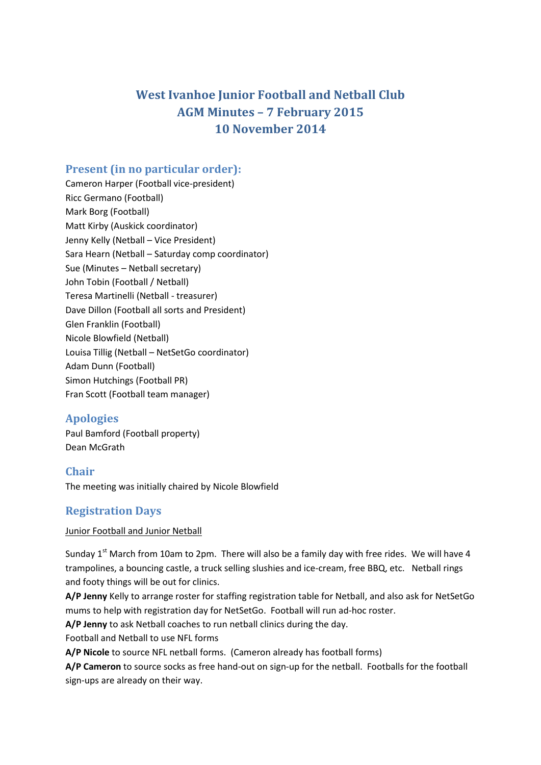# **West Ivanhoe Junior Football and Netball Club AGM Minutes – 7 February 2015 10 November 2014**

# **Present (in no particular order):**

Cameron Harper (Football vice-president) Ricc Germano (Football) Mark Borg (Football) Matt Kirby (Auskick coordinator) Jenny Kelly (Netball – Vice President) Sara Hearn (Netball – Saturday comp coordinator) Sue (Minutes – Netball secretary) John Tobin (Football / Netball) Teresa Martinelli (Netball - treasurer) Dave Dillon (Football all sorts and President) Glen Franklin (Football) Nicole Blowfield (Netball) Louisa Tillig (Netball – NetSetGo coordinator) Adam Dunn (Football) Simon Hutchings (Football PR) Fran Scott (Football team manager)

# **Apologies**

Paul Bamford (Football property) Dean McGrath

# **Chair**

The meeting was initially chaired by Nicole Blowfield

# **Registration Days**

### Junior Football and Junior Netball

Sunday 1<sup>st</sup> March from 10am to 2pm. There will also be a family day with free rides. We will have 4 trampolines, a bouncing castle, a truck selling slushies and ice-cream, free BBQ, etc. Netball rings and footy things will be out for clinics.

**A/P Jenny** Kelly to arrange roster for staffing registration table for Netball, and also ask for NetSetGo mums to help with registration day for NetSetGo. Football will run ad-hoc roster.

**A/P Jenny** to ask Netball coaches to run netball clinics during the day.

Football and Netball to use NFL forms

**A/P Nicole** to source NFL netball forms. (Cameron already has football forms)

**A/P Cameron** to source socks as free hand-out on sign-up for the netball. Footballs for the football sign-ups are already on their way.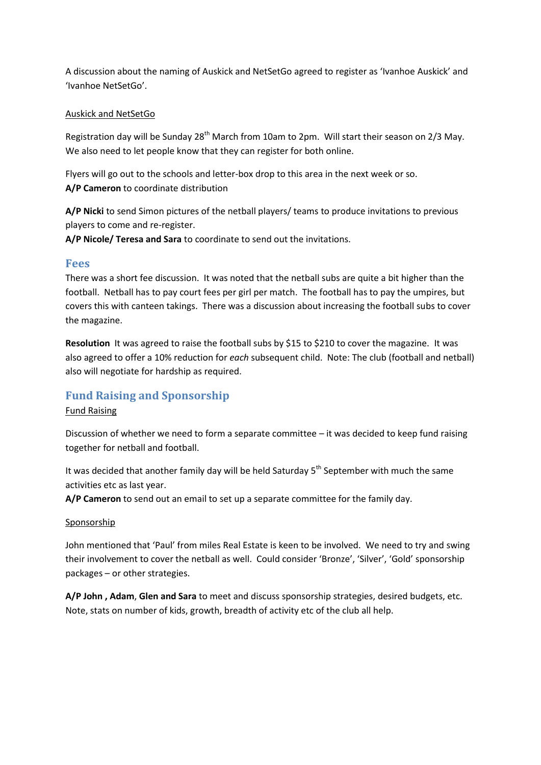A discussion about the naming of Auskick and NetSetGo agreed to register as 'Ivanhoe Auskick' and 'Ivanhoe NetSetGo'.

#### Auskick and NetSetGo

Registration day will be Sunday 28<sup>th</sup> March from 10am to 2pm. Will start their season on 2/3 May. We also need to let people know that they can register for both online.

Flyers will go out to the schools and letter-box drop to this area in the next week or so. **A/P Cameron** to coordinate distribution

**A/P Nicki** to send Simon pictures of the netball players/ teams to produce invitations to previous players to come and re-register.

**A/P Nicole/ Teresa and Sara** to coordinate to send out the invitations.

### **Fees**

There was a short fee discussion. It was noted that the netball subs are quite a bit higher than the football. Netball has to pay court fees per girl per match. The football has to pay the umpires, but covers this with canteen takings. There was a discussion about increasing the football subs to cover the magazine.

**Resolution** It was agreed to raise the football subs by \$15 to \$210 to cover the magazine. It was also agreed to offer a 10% reduction for *each* subsequent child. Note: The club (football and netball) also will negotiate for hardship as required.

### **Fund Raising and Sponsorship**

#### Fund Raising

Discussion of whether we need to form a separate committee – it was decided to keep fund raising together for netball and football.

It was decided that another family day will be held Saturday  $5<sup>th</sup>$  September with much the same activities etc as last year.

**A/P Cameron** to send out an email to set up a separate committee for the family day.

#### Sponsorship

John mentioned that 'Paul' from miles Real Estate is keen to be involved. We need to try and swing their involvement to cover the netball as well. Could consider 'Bronze', 'Silver', 'Gold' sponsorship packages – or other strategies.

**A/P John , Adam**, **Glen and Sara** to meet and discuss sponsorship strategies, desired budgets, etc. Note, stats on number of kids, growth, breadth of activity etc of the club all help.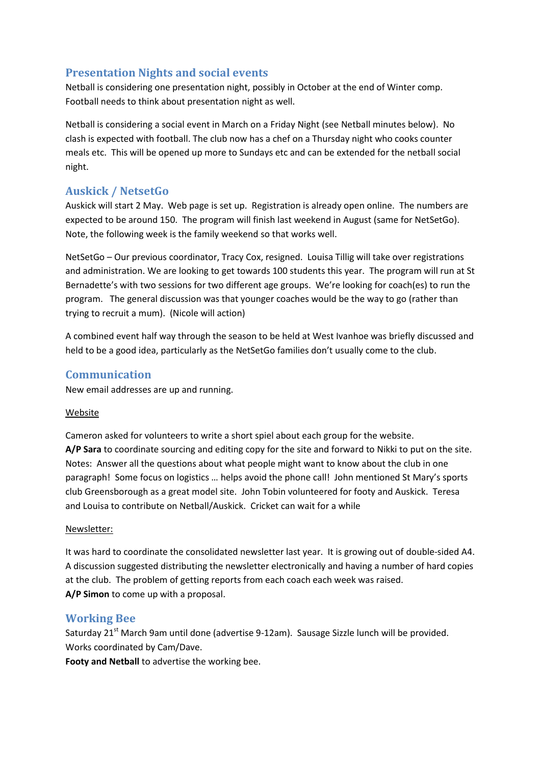# **Presentation Nights and social events**

Netball is considering one presentation night, possibly in October at the end of Winter comp. Football needs to think about presentation night as well.

Netball is considering a social event in March on a Friday Night (see Netball minutes below). No clash is expected with football. The club now has a chef on a Thursday night who cooks counter meals etc. This will be opened up more to Sundays etc and can be extended for the netball social night.

# **Auskick / NetsetGo**

Auskick will start 2 May. Web page is set up. Registration is already open online. The numbers are expected to be around 150. The program will finish last weekend in August (same for NetSetGo). Note, the following week is the family weekend so that works well.

NetSetGo – Our previous coordinator, Tracy Cox, resigned. Louisa Tillig will take over registrations and administration. We are looking to get towards 100 students this year. The program will run at St Bernadette's with two sessions for two different age groups. We're looking for coach(es) to run the program. The general discussion was that younger coaches would be the way to go (rather than trying to recruit a mum). (Nicole will action)

A combined event half way through the season to be held at West Ivanhoe was briefly discussed and held to be a good idea, particularly as the NetSetGo families don't usually come to the club.

## **Communication**

New email addresses are up and running.

### Website

Cameron asked for volunteers to write a short spiel about each group for the website. **A/P Sara** to coordinate sourcing and editing copy for the site and forward to Nikki to put on the site. Notes: Answer all the questions about what people might want to know about the club in one paragraph! Some focus on logistics … helps avoid the phone call! John mentioned St Mary's sports club Greensborough as a great model site. John Tobin volunteered for footy and Auskick. Teresa and Louisa to contribute on Netball/Auskick. Cricket can wait for a while

### Newsletter:

It was hard to coordinate the consolidated newsletter last year. It is growing out of double-sided A4. A discussion suggested distributing the newsletter electronically and having a number of hard copies at the club. The problem of getting reports from each coach each week was raised. **A/P Simon** to come up with a proposal.

### **Working Bee**

Saturday 21<sup>st</sup> March 9am until done (advertise 9-12am). Sausage Sizzle lunch will be provided. Works coordinated by Cam/Dave.

**Footy and Netball** to advertise the working bee.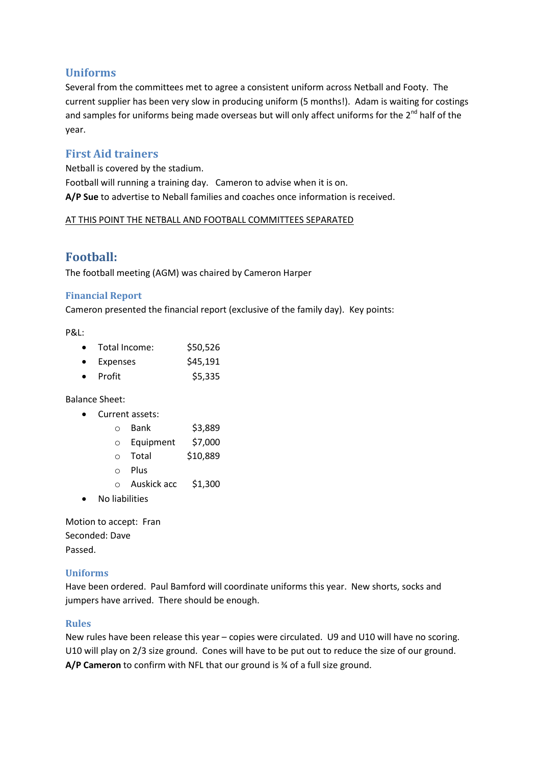# **Uniforms**

Several from the committees met to agree a consistent uniform across Netball and Footy. The current supplier has been very slow in producing uniform (5 months!). Adam is waiting for costings and samples for uniforms being made overseas but will only affect uniforms for the 2<sup>nd</sup> half of the year.

# **First Aid trainers**

Netball is covered by the stadium. Football will running a training day. Cameron to advise when it is on. **A/P Sue** to advertise to Neball families and coaches once information is received.

#### AT THIS POINT THE NETBALL AND FOOTBALL COMMITTEES SEPARATED

# **Football:**

The football meeting (AGM) was chaired by Cameron Harper

### **Financial Report**

Cameron presented the financial report (exclusive of the family day). Key points:

P&L:

| $\bullet$ | Total Income: | \$50,526 |
|-----------|---------------|----------|
| $\bullet$ | Expenses      | \$45,191 |
| $\bullet$ | Profit        | \$5,335  |

Balance Sheet:

Current assets:

| ∩       | Bank      | \$3,889  |
|---------|-----------|----------|
| $\circ$ | Equipment | \$7,000  |
| ∩       | Total     | \$10,889 |
| ∩       | Plus      |          |

o Auskick acc \$1,300

No liabilities

Motion to accept: Fran Seconded: Dave Passed.

### **Uniforms**

Have been ordered. Paul Bamford will coordinate uniforms this year. New shorts, socks and jumpers have arrived. There should be enough.

### **Rules**

New rules have been release this year – copies were circulated. U9 and U10 will have no scoring. U10 will play on 2/3 size ground. Cones will have to be put out to reduce the size of our ground. **A/P Cameron** to confirm with NFL that our ground is ¾ of a full size ground.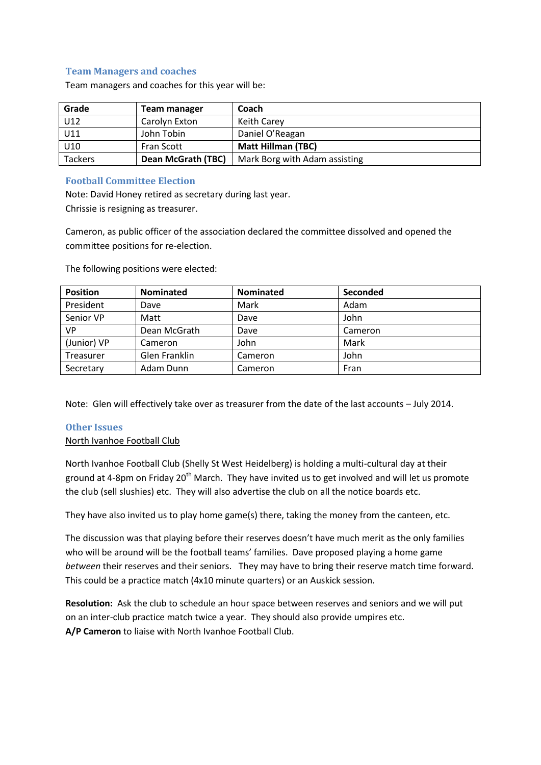### **Team Managers and coaches**

Team managers and coaches for this year will be:

| Grade   | Team manager       | Coach                         |  |
|---------|--------------------|-------------------------------|--|
| U12     | Carolyn Exton      | <b>Keith Carey</b>            |  |
| U11     | John Tobin         | Daniel O'Reagan               |  |
| U10     | <b>Fran Scott</b>  | <b>Matt Hillman (TBC)</b>     |  |
| Tackers | Dean McGrath (TBC) | Mark Borg with Adam assisting |  |

#### **Football Committee Election**

Note: David Honey retired as secretary during last year. Chrissie is resigning as treasurer.

Cameron, as public officer of the association declared the committee dissolved and opened the committee positions for re-election.

| <b>Position</b> | <b>Nominated</b> | <b>Nominated</b> | Seconded |
|-----------------|------------------|------------------|----------|
| President       | Dave             | Mark             | Adam     |
| Senior VP       | Matt             | Dave             | John     |
| <b>VP</b>       | Dean McGrath     | Dave             | Cameron  |
| (Junior) VP     | Cameron          | John             | Mark     |
| Treasurer       | Glen Franklin    | Cameron          | John     |
| Secretary       | Adam Dunn        | Cameron          | Fran     |

The following positions were elected:

Note: Glen will effectively take over as treasurer from the date of the last accounts – July 2014.

#### **Other Issues**

#### North Ivanhoe Football Club

North Ivanhoe Football Club (Shelly St West Heidelberg) is holding a multi-cultural day at their ground at 4-8pm on Friday 20<sup>th</sup> March. They have invited us to get involved and will let us promote the club (sell slushies) etc. They will also advertise the club on all the notice boards etc.

They have also invited us to play home game(s) there, taking the money from the canteen, etc.

The discussion was that playing before their reserves doesn't have much merit as the only families who will be around will be the football teams' families. Dave proposed playing a home game *between* their reserves and their seniors. They may have to bring their reserve match time forward. This could be a practice match (4x10 minute quarters) or an Auskick session.

**Resolution:** Ask the club to schedule an hour space between reserves and seniors and we will put on an inter-club practice match twice a year. They should also provide umpires etc. **A/P Cameron** to liaise with North Ivanhoe Football Club.